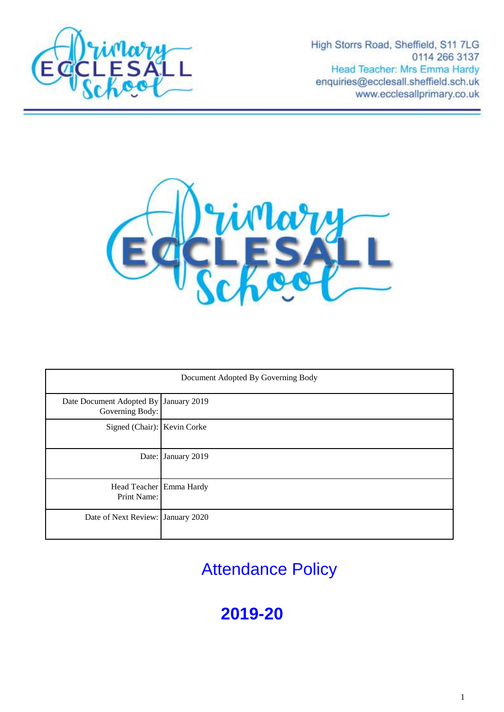

High Storrs Road, Sheffield, S11 7LG 0114 266 3137 Head Teacher: Mrs Emma Hardy enquiries@ecclesall.sheffield.sch.uk www.ecclesallprimary.co.uk



| Document Adopted By Governing Body                       |                    |
|----------------------------------------------------------|--------------------|
| Date Document Adopted By January 2019<br>Governing Body: |                    |
| Signed (Chair): Kevin Corke                              |                    |
|                                                          | Date: January 2019 |
| Head Teacher Emma Hardy<br>Print Name:                   |                    |
| Date of Next Review: January 2020                        |                    |

Attendance Policy

# **2019-20**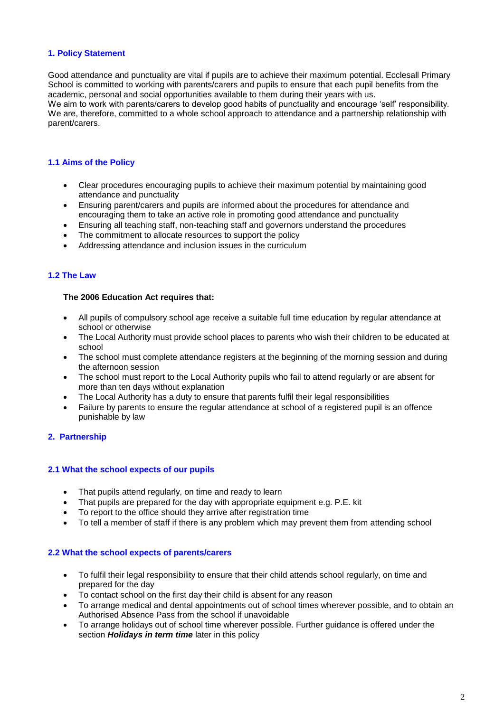# **1. Policy Statement**

Good attendance and punctuality are vital if pupils are to achieve their maximum potential. Ecclesall Primary School is committed to working with parents/carers and pupils to ensure that each pupil benefits from the academic, personal and social opportunities available to them during their years with us.

We aim to work with parents/carers to develop good habits of punctuality and encourage 'self' responsibility. We are, therefore, committed to a whole school approach to attendance and a partnership relationship with parent/carers.

# **1.1 Aims of the Policy**

- Clear procedures encouraging pupils to achieve their maximum potential by maintaining good attendance and punctuality
- Ensuring parent/carers and pupils are informed about the procedures for attendance and encouraging them to take an active role in promoting good attendance and punctuality
- Ensuring all teaching staff, non-teaching staff and governors understand the procedures
- The commitment to allocate resources to support the policy
- Addressing attendance and inclusion issues in the curriculum

# **1.2 The Law**

#### **The 2006 Education Act requires that:**

- All pupils of compulsory school age receive a suitable full time education by regular attendance at school or otherwise
- The Local Authority must provide school places to parents who wish their children to be educated at school
- The school must complete attendance registers at the beginning of the morning session and during the afternoon session
- The school must report to the Local Authority pupils who fail to attend regularly or are absent for more than ten days without explanation
- The Local Authority has a duty to ensure that parents fulfil their legal responsibilities
- Failure by parents to ensure the regular attendance at school of a registered pupil is an offence punishable by law

# **2. Partnership**

# **2.1 What the school expects of our pupils**

- That pupils attend regularly, on time and ready to learn
- That pupils are prepared for the day with appropriate equipment e.g. P.E. kit
- To report to the office should they arrive after registration time
- To tell a member of staff if there is any problem which may prevent them from attending school

# **2.2 What the school expects of parents/carers**

- To fulfil their legal responsibility to ensure that their child attends school regularly, on time and prepared for the day
- To contact school on the first day their child is absent for any reason
- To arrange medical and dental appointments out of school times wherever possible, and to obtain an Authorised Absence Pass from the school if unavoidable
- To arrange holidays out of school time wherever possible. Further guidance is offered under the section *Holidays in term time* later in this policy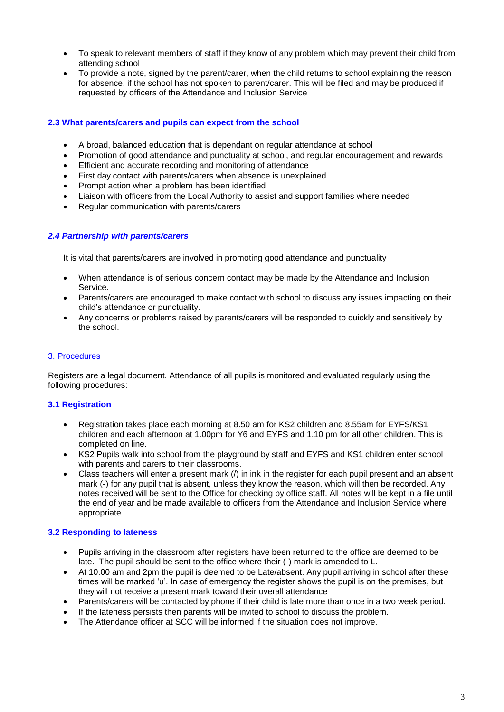- To speak to relevant members of staff if they know of any problem which may prevent their child from attending school
- To provide a note, signed by the parent/carer, when the child returns to school explaining the reason for absence, if the school has not spoken to parent/carer. This will be filed and may be produced if requested by officers of the Attendance and Inclusion Service

# **2.3 What parents/carers and pupils can expect from the school**

- A broad, balanced education that is dependant on regular attendance at school
- Promotion of good attendance and punctuality at school, and regular encouragement and rewards
- **Efficient and accurate recording and monitoring of attendance**
- First day contact with parents/carers when absence is unexplained
- Prompt action when a problem has been identified
- Liaison with officers from the Local Authority to assist and support families where needed
- Regular communication with parents/carers

# *2.4 Partnership with parents/carers*

It is vital that parents/carers are involved in promoting good attendance and punctuality

- When attendance is of serious concern contact may be made by the Attendance and Inclusion Service.
- Parents/carers are encouraged to make contact with school to discuss any issues impacting on their child's attendance or punctuality.
- Any concerns or problems raised by parents/carers will be responded to quickly and sensitively by the school.

## 3. Procedures

Registers are a legal document. Attendance of all pupils is monitored and evaluated regularly using the following procedures:

# **3.1 Registration**

- Registration takes place each morning at 8.50 am for KS2 children and 8.55am for EYFS/KS1 children and each afternoon at 1.00pm for Y6 and EYFS and 1.10 pm for all other children. This is completed on line.
- KS2 Pupils walk into school from the playground by staff and EYFS and KS1 children enter school with parents and carers to their classrooms.
- Class teachers will enter a present mark (/) in ink in the register for each pupil present and an absent mark (-) for any pupil that is absent, unless they know the reason, which will then be recorded. Any notes received will be sent to the Office for checking by office staff. All notes will be kept in a file until the end of year and be made available to officers from the Attendance and Inclusion Service where appropriate.

# **3.2 Responding to lateness**

- Pupils arriving in the classroom after registers have been returned to the office are deemed to be late. The pupil should be sent to the office where their (-) mark is amended to L.
- At 10.00 am and 2pm the pupil is deemed to be Late/absent. Any pupil arriving in school after these times will be marked 'u'. In case of emergency the register shows the pupil is on the premises, but they will not receive a present mark toward their overall attendance
- Parents/carers will be contacted by phone if their child is late more than once in a two week period.
- If the lateness persists then parents will be invited to school to discuss the problem.
- The Attendance officer at SCC will be informed if the situation does not improve.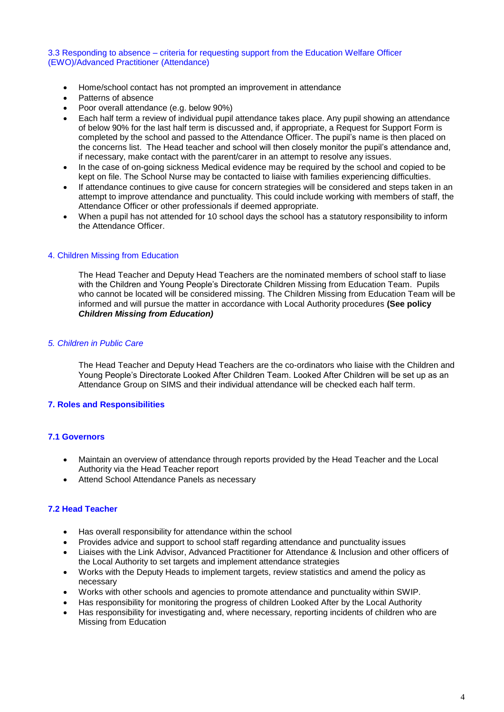## 3.3 Responding to absence – criteria for requesting support from the Education Welfare Officer (EWO)/Advanced Practitioner (Attendance)

- Home/school contact has not prompted an improvement in attendance
- Patterns of absence
- Poor overall attendance (e.g. below 90%)
- Each half term a review of individual pupil attendance takes place. Any pupil showing an attendance of below 90% for the last half term is discussed and, if appropriate, a Request for Support Form is completed by the school and passed to the Attendance Officer. The pupil's name is then placed on the concerns list. The Head teacher and school will then closely monitor the pupil's attendance and, if necessary, make contact with the parent/carer in an attempt to resolve any issues.
- In the case of on-going sickness Medical evidence may be required by the school and copied to be kept on file. The School Nurse may be contacted to liaise with families experiencing difficulties.
- If attendance continues to give cause for concern strategies will be considered and steps taken in an attempt to improve attendance and punctuality. This could include working with members of staff, the Attendance Officer or other professionals if deemed appropriate.
- When a pupil has not attended for 10 school days the school has a statutory responsibility to inform the Attendance Officer.

## 4. Children Missing from Education

The Head Teacher and Deputy Head Teachers are the nominated members of school staff to liase with the Children and Young People's Directorate Children Missing from Education Team. Pupils who cannot be located will be considered missing. The Children Missing from Education Team will be informed and will pursue the matter in accordance with Local Authority procedures **(See policy**  *Children Missing from Education)*

## *5. Children in Public Care*

The Head Teacher and Deputy Head Teachers are the co-ordinators who liaise with the Children and Young People's Directorate Looked After Children Team. Looked After Children will be set up as an Attendance Group on SIMS and their individual attendance will be checked each half term.

# **7. Roles and Responsibilities**

# **7.1 Governors**

- Maintain an overview of attendance through reports provided by the Head Teacher and the Local Authority via the Head Teacher report
- Attend School Attendance Panels as necessary

# **7.2 Head Teacher**

- Has overall responsibility for attendance within the school
- Provides advice and support to school staff regarding attendance and punctuality issues
- Liaises with the Link Advisor, Advanced Practitioner for Attendance & Inclusion and other officers of the Local Authority to set targets and implement attendance strategies
- Works with the Deputy Heads to implement targets, review statistics and amend the policy as necessary
- Works with other schools and agencies to promote attendance and punctuality within SWIP.
- Has responsibility for monitoring the progress of children Looked After by the Local Authority
- Has responsibility for investigating and, where necessary, reporting incidents of children who are Missing from Education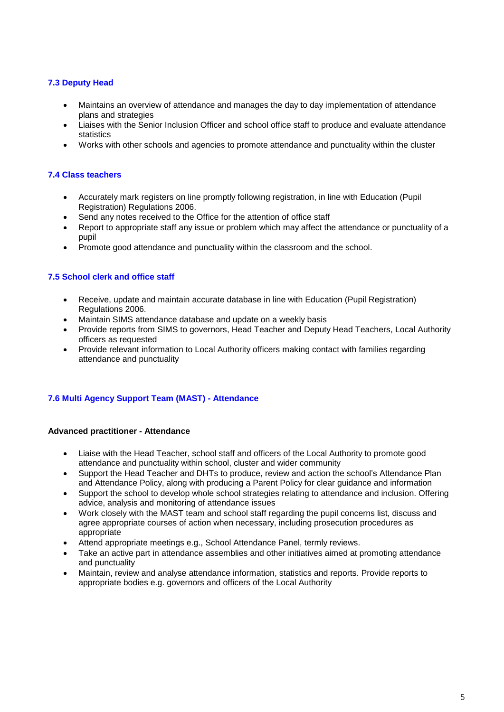# **7.3 Deputy Head**

- Maintains an overview of attendance and manages the day to day implementation of attendance plans and strategies
- Liaises with the Senior Inclusion Officer and school office staff to produce and evaluate attendance statistics
- Works with other schools and agencies to promote attendance and punctuality within the cluster

# **7.4 Class teachers**

- Accurately mark registers on line promptly following registration, in line with Education (Pupil Registration) Regulations 2006.
- Send any notes received to the Office for the attention of office staff
- Report to appropriate staff any issue or problem which may affect the attendance or punctuality of a pupil
- Promote good attendance and punctuality within the classroom and the school.

# **7.5 School clerk and office staff**

- Receive, update and maintain accurate database in line with Education (Pupil Registration) Regulations 2006.
- Maintain SIMS attendance database and update on a weekly basis
- Provide reports from SIMS to governors, Head Teacher and Deputy Head Teachers, Local Authority officers as requested
- Provide relevant information to Local Authority officers making contact with families regarding attendance and punctuality

# **7.6 Multi Agency Support Team (MAST) - Attendance**

## **Advanced practitioner - Attendance**

- Liaise with the Head Teacher, school staff and officers of the Local Authority to promote good attendance and punctuality within school, cluster and wider community
- Support the Head Teacher and DHTs to produce, review and action the school's Attendance Plan and Attendance Policy, along with producing a Parent Policy for clear guidance and information
- Support the school to develop whole school strategies relating to attendance and inclusion. Offering advice, analysis and monitoring of attendance issues
- Work closely with the MAST team and school staff regarding the pupil concerns list, discuss and agree appropriate courses of action when necessary, including prosecution procedures as appropriate
- Attend appropriate meetings e.g., School Attendance Panel, termly reviews.
- Take an active part in attendance assemblies and other initiatives aimed at promoting attendance and punctuality
- Maintain, review and analyse attendance information, statistics and reports. Provide reports to appropriate bodies e.g. governors and officers of the Local Authority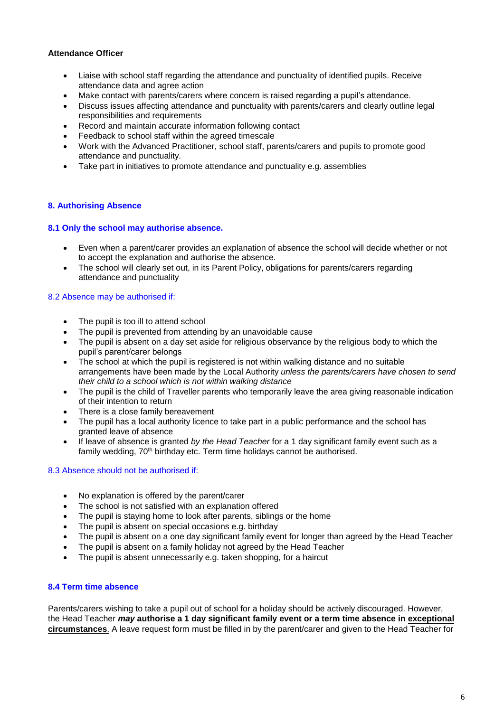# **Attendance Officer**

- Liaise with school staff regarding the attendance and punctuality of identified pupils. Receive attendance data and agree action
- Make contact with parents/carers where concern is raised regarding a pupil's attendance.
- Discuss issues affecting attendance and punctuality with parents/carers and clearly outline legal responsibilities and requirements
- Record and maintain accurate information following contact
- Feedback to school staff within the agreed timescale
- Work with the Advanced Practitioner, school staff, parents/carers and pupils to promote good attendance and punctuality.
- Take part in initiatives to promote attendance and punctuality e.g. assemblies

# **8. Authorising Absence**

## **8.1 Only the school may authorise absence.**

- Even when a parent/carer provides an explanation of absence the school will decide whether or not to accept the explanation and authorise the absence.
- The school will clearly set out, in its Parent Policy, obligations for parents/carers regarding attendance and punctuality

## 8.2 Absence may be authorised if:

- The pupil is too ill to attend school
- The pupil is prevented from attending by an unavoidable cause
- The pupil is absent on a day set aside for religious observance by the religious body to which the pupil's parent/carer belongs
- The school at which the pupil is registered is not within walking distance and no suitable arrangements have been made by the Local Authority *unless the parents/carers have chosen to send their child to a school which is not within walking distance*
- The pupil is the child of Traveller parents who temporarily leave the area giving reasonable indication of their intention to return
- There is a close family bereavement
- The pupil has a local authority licence to take part in a public performance and the school has granted leave of absence
- If leave of absence is granted *by the Head Teacher* for a 1 day significant family event such as a family wedding, 70<sup>th</sup> birthday etc. Term time holidays cannot be authorised.

# 8.3 Absence should not be authorised if:

- No explanation is offered by the parent/carer
- The school is not satisfied with an explanation offered
- The pupil is staying home to look after parents, siblings or the home
- The pupil is absent on special occasions e.g. birthday
- The pupil is absent on a one day significant family event for longer than agreed by the Head Teacher
- The pupil is absent on a family holiday not agreed by the Head Teacher
- The pupil is absent unnecessarily e.g. taken shopping, for a haircut

# **8.4 Term time absence**

Parents/carers wishing to take a pupil out of school for a holiday should be actively discouraged. However, the Head Teacher *may* **authorise a 1 day significant family event or a term time absence in exceptional circumstances**. A leave request form must be filled in by the parent/carer and given to the Head Teacher for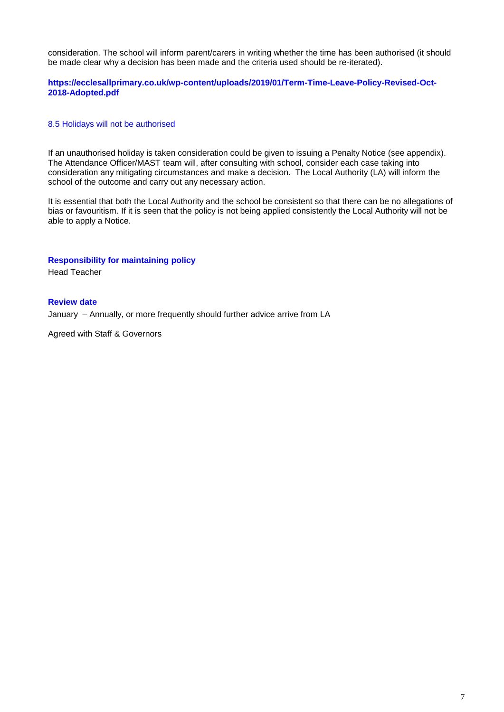consideration. The school will inform parent/carers in writing whether the time has been authorised (it should be made clear why a decision has been made and the criteria used should be re-iterated).

# **https://ecclesallprimary.co.uk/wp-content/uploads/2019/01/Term-Time-Leave-Policy-Revised-Oct-2018-Adopted.pdf**

## 8.5 Holidays will not be authorised

If an unauthorised holiday is taken consideration could be given to issuing a Penalty Notice (see appendix). The Attendance Officer/MAST team will, after consulting with school, consider each case taking into consideration any mitigating circumstances and make a decision. The Local Authority (LA) will inform the school of the outcome and carry out any necessary action.

It is essential that both the Local Authority and the school be consistent so that there can be no allegations of bias or favouritism. If it is seen that the policy is not being applied consistently the Local Authority will not be able to apply a Notice.

#### **Responsibility for maintaining policy**

Head Teacher

## **Review date**

January – Annually, or more frequently should further advice arrive from LA

Agreed with Staff & Governors